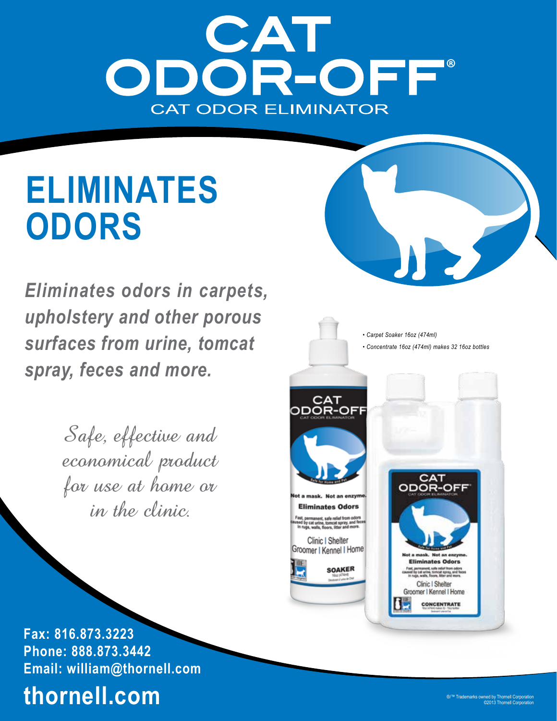# ODOR-OFF® **CAT ODOR ELIMINATOR**

# **ELIMINATES ODORS**

*Eliminates odors in carpets, upholstery and other porous surfaces from urine, tomcat spray, feces and more.*

> Safe, effective and economical product for use at home or in the clinic.



**Fax: 816.873.3223 Phone: 888.873.3442 Email: william@thornell.com**

# **thornell.com**